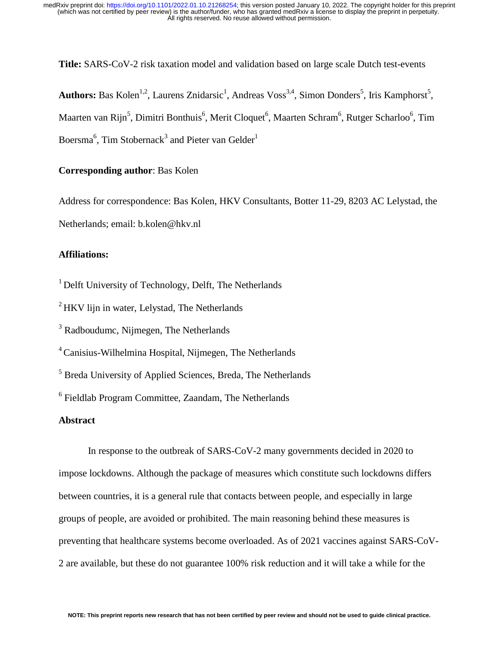**Title:** SARS-CoV-2 risk taxation model and validation based on large scale Dutch test-events

Authors: Bas Kolen<sup>1,2</sup>, Laurens Znidarsic<sup>1</sup>, Andreas Voss<sup>3,4</sup>, Simon Donders<sup>5</sup>, Iris Kamphorst<sup>5</sup>, Maarten van Rijn<sup>5</sup>, Dimitri Bonthuis<sup>6</sup>, Merit Cloquet<sup>6</sup>, Maarten Schram<sup>6</sup>, Rutger Scharloo<sup>6</sup>, Tim Boersma<sup>6</sup>, Tim Stobernack<sup>3</sup> and Pieter van Gelder<sup>1</sup>

# **Corresponding author**: Bas Kolen

Address for correspondence: Bas Kolen, HKV Consultants, Botter 11-29, 8203 AC Lelystad, the Netherlands; email: b.kolen@hkv.nl

### **Affiliations:**

 $<sup>1</sup>$  Delft University of Technology, Delft, The Netherlands</sup>

 $^{2}$ HKV lijn in water, Lelystad, The Netherlands

<sup>3</sup> Radboudumc, Nijmegen, The Netherlands

4 Canisius-Wilhelmina Hospital, Nijmegen, The Netherlands

<sup>5</sup> Breda University of Applied Sciences, Breda, The Netherlands

<sup>6</sup> Fieldlab Program Committee, Zaandam, The Netherlands

## **Abstract**

In response to the outbreak of SARS-CoV-2 many governments decided in 2020 to impose lockdowns. Although the package of measures which constitute such lockdowns differs between countries, it is a general rule that contacts between people, and especially in large groups of people, are avoided or prohibited. The main reasoning behind these measures is preventing that healthcare systems become overloaded. As of 2021 vaccines against SARS-CoV-2 are available, but these do not guarantee 100% risk reduction and it will take a while for the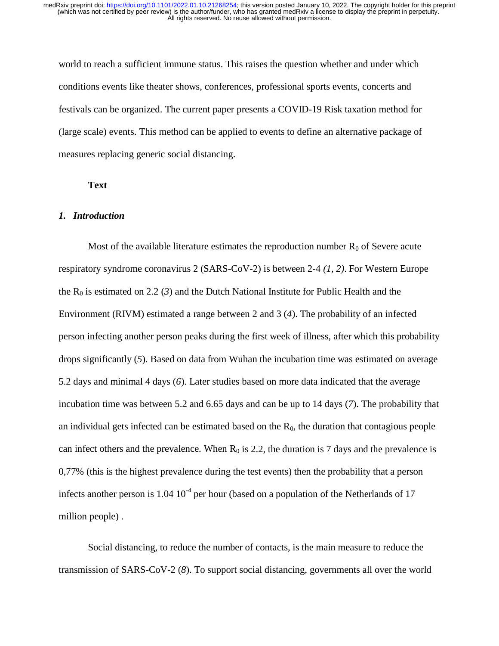world to reach a sufficient immune status. This raises the question whether and under which conditions events like theater shows, conferences, professional sports events, concerts and festivals can be organized. The current paper presents a COVID-19 Risk taxation method for (large scale) events. This method can be applied to events to define an alternative package of measures replacing generic social distancing.

#### **Text**

#### *1. Introduction*

Most of the available literature estimates the reproduction number  $R_0$  of Severe acute respiratory syndrome coronavirus 2 (SARS-CoV-2) is between 2-4 *(1, 2)*. For Western Europe the  $R_0$  is estimated on 2.2 (3) and the Dutch National Institute for Public Health and the Environment (RIVM) estimated a range between 2 and 3 (*4*). The probability of an infected person infecting another person peaks during the first week of illness, after which this probability drops significantly (*5*). Based on data from Wuhan the incubation time was estimated on average 5.2 days and minimal 4 days (*6*). Later studies based on more data indicated that the average incubation time was between 5.2 and 6.65 days and can be up to 14 days (*7*). The probability that an individual gets infected can be estimated based on the  $R_0$ , the duration that contagious people can infect others and the prevalence. When  $R_0$  is 2.2, the duration is 7 days and the prevalence is 0,77% (this is the highest prevalence during the test events) then the probability that a person infects another person is  $1.04 \times 10^{-4}$  per hour (based on a population of the Netherlands of 17 million people) .

Social distancing, to reduce the number of contacts, is the main measure to reduce the transmission of SARS-CoV-2 (*8*). To support social distancing, governments all over the world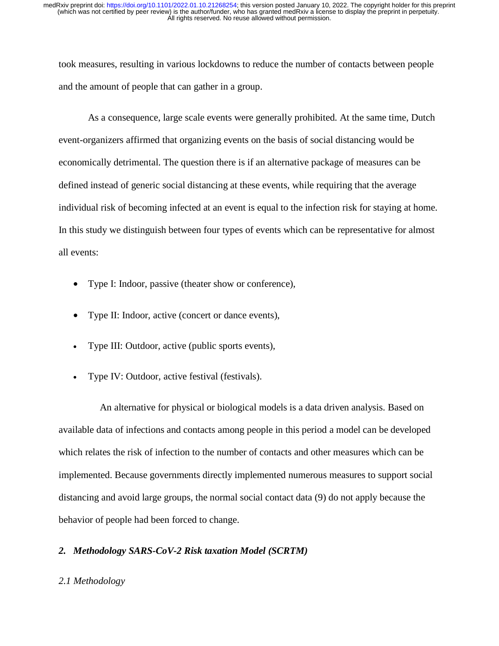took measures, resulting in various lockdowns to reduce the number of contacts between people and the amount of people that can gather in a group.

As a consequence, large scale events were generally prohibited. At the same time, Dutch event-organizers affirmed that organizing events on the basis of social distancing would be economically detrimental. The question there is if an alternative package of measures can be defined instead of generic social distancing at these events, while requiring that the average individual risk of becoming infected at an event is equal to the infection risk for staying at home. In this study we distinguish between four types of events which can be representative for almost all events:

- Type I: Indoor, passive (theater show or conference),
- Type II: Indoor, active (concert or dance events),
- Type III: Outdoor, active (public sports events),
- Type IV: Outdoor, active festival (festivals).

 An alternative for physical or biological models is a data driven analysis. Based on available data of infections and contacts among people in this period a model can be developed which relates the risk of infection to the number of contacts and other measures which can be implemented. Because governments directly implemented numerous measures to support social distancing and avoid large groups, the normal social contact data (9) do not apply because the behavior of people had been forced to change.

# *2. Methodology SARS-CoV-2 Risk taxation Model (SCRTM)*

## *2.1 Methodology*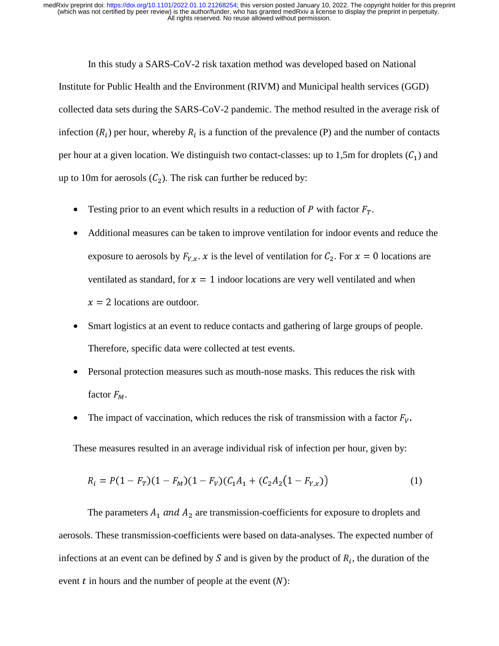In this study a SARS-CoV-2 risk taxation method was developed based on National Institute for Public Health and the Environment (RIVM) and Municipal health services (GGD) collected data sets during the SARS-CoV-2 pandemic. The method resulted in the average risk of infection  $(R_i)$  per hour, whereby  $R_i$  is a function of the prevalence (P) and the number of contacts per hour at a given location. We distinguish two contact-classes: up to 1,5m for droplets  $(C_1)$  and up to 10m for aerosols  $(C_2)$ . The risk can further be reduced by:

- Testing prior to an event which results in a reduction of  $P$  with factor  $F_T$ .
- Additional measures can be taken to improve ventilation for indoor events and reduce the exposure to aerosols by  $F_{Y,x}$ . x is the level of ventilation for  $C_2$ . For  $x = 0$  locations are ventilated as standard, for  $x = 1$  indoor locations are very well ventilated and when  $x = 2$  locations are outdoor.
- Smart logistics at an event to reduce contacts and gathering of large groups of people. Therefore, specific data were collected at test events.
- Personal protection measures such as mouth-nose masks. This reduces the risk with factor  $F_M$ .
- The impact of vaccination, which reduces the risk of transmission with a factor  $F_V$ .

These measures resulted in an average individual risk of infection per hour, given by:

$$
R_i = P(1 - F_T)(1 - F_M)(1 - F_V)(C_1A_1 + (C_2A_2(1 - F_{Y,x}))
$$
\n(1)

The parameters  $A_1$  and  $A_2$  are transmission-coefficients for exposure to droplets and aerosols. These transmission-coefficients were based on data-analyses. The expected number of infections at an event can be defined by S and is given by the product of  $R_i$ , the duration of the event  $t$  in hours and the number of people at the event  $(N)$ :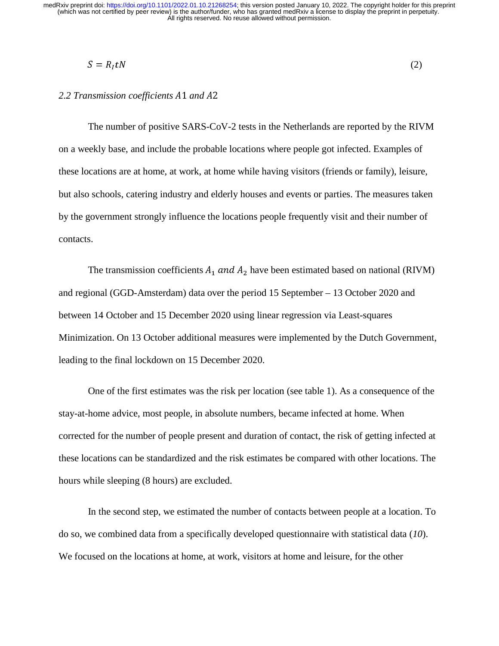$$
S = R_I t N \tag{2}
$$

### 2.2 Transmission coefficients A1 and A2

The number of positive SARS-CoV-2 tests in the Netherlands are reported by the RIVM on a weekly base, and include the probable locations where people got infected. Examples of these locations are at home, at work, at home while having visitors (friends or family), leisure, but also schools, catering industry and elderly houses and events or parties. The measures taken by the government strongly influence the locations people frequently visit and their number of contacts.

The transmission coefficients  $A_1$  and  $A_2$  have been estimated based on national (RIVM) and regional (GGD-Amsterdam) data over the period 15 September – 13 October 2020 and between 14 October and 15 December 2020 using linear regression via Least-squares Minimization. On 13 October additional measures were implemented by the Dutch Government, leading to the final lockdown on 15 December 2020.

One of the first estimates was the risk per location (see table 1). As a consequence of the stay-at-home advice, most people, in absolute numbers, became infected at home. When corrected for the number of people present and duration of contact, the risk of getting infected at these locations can be standardized and the risk estimates be compared with other locations. The hours while sleeping (8 hours) are excluded.

In the second step, we estimated the number of contacts between people at a location. To do so, we combined data from a specifically developed questionnaire with statistical data (*10*). We focused on the locations at home, at work, visitors at home and leisure, for the other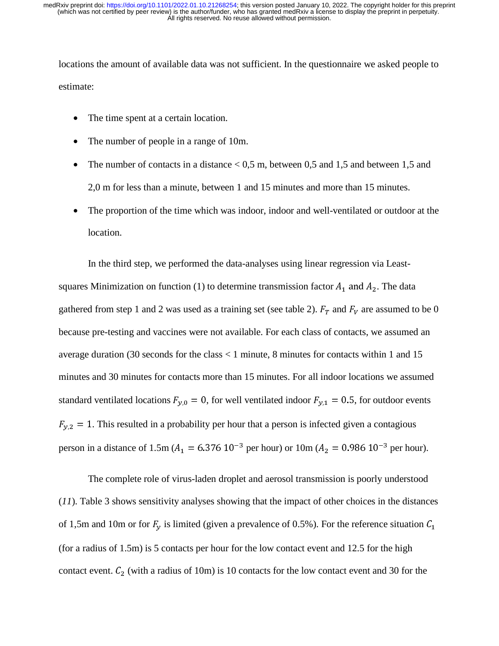locations the amount of available data was not sufficient. In the questionnaire we asked people to estimate:

- The time spent at a certain location.
- The number of people in a range of 10m.
- The number of contacts in a distance  $< 0.5$  m, between 0.5 and 1.5 and between 1.5 and 2,0 m for less than a minute, between 1 and 15 minutes and more than 15 minutes.
- The proportion of the time which was indoor, indoor and well-ventilated or outdoor at the location.

In the third step, we performed the data-analyses using linear regression via Leastsquares Minimization on function (1) to determine transmission factor  $A_1$  and  $A_2$ . The data gathered from step 1 and 2 was used as a training set (see table 2).  $F_T$  and  $F_V$  are assumed to be 0 because pre-testing and vaccines were not available. For each class of contacts, we assumed an average duration (30 seconds for the class < 1 minute, 8 minutes for contacts within 1 and 15 minutes and 30 minutes for contacts more than 15 minutes. For all indoor locations we assumed standard ventilated locations  $F_{y,0} = 0$ , for well ventilated indoor  $F_{y,1} = 0.5$ , for outdoor events  $F_{v,2} = 1$ . This resulted in a probability per hour that a person is infected given a contagious person in a distance of  $1.5m (A_1 = 6.376 10^{-3} \text{ per hour})$  or  $10m (A_2 = 0.986 10^{-3} \text{ per hour}).$ 

The complete role of virus-laden droplet and aerosol transmission is poorly understood (*11*). Table 3 shows sensitivity analyses showing that the impact of other choices in the distances of 1,5m and 10m or for  $F_y$  is limited (given a prevalence of 0.5%). For the reference situation  $C_1$ (for a radius of 1.5m) is 5 contacts per hour for the low contact event and 12.5 for the high contact event.  $C_2$  (with a radius of 10m) is 10 contacts for the low contact event and 30 for the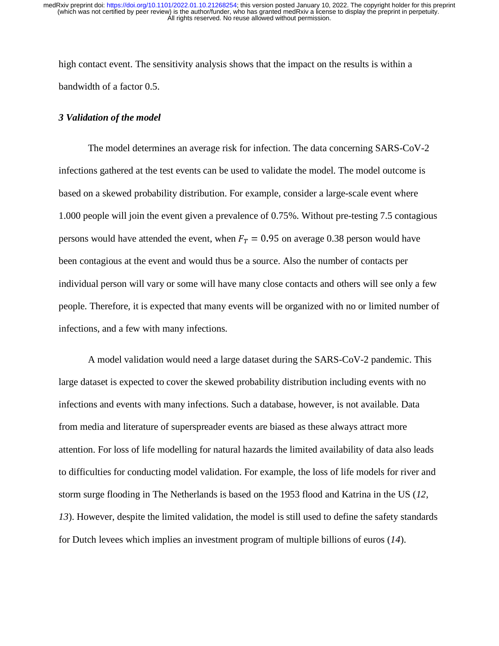high contact event. The sensitivity analysis shows that the impact on the results is within a bandwidth of a factor 0.5.

### *3 Validation of the model*

The model determines an average risk for infection. The data concerning SARS-CoV-2 infections gathered at the test events can be used to validate the model. The model outcome is based on a skewed probability distribution. For example, consider a large-scale event where 1.000 people will join the event given a prevalence of 0.75%. Without pre-testing 7.5 contagious persons would have attended the event, when  $F_T = 0.95$  on average 0.38 person would have been contagious at the event and would thus be a source. Also the number of contacts per individual person will vary or some will have many close contacts and others will see only a few people. Therefore, it is expected that many events will be organized with no or limited number of infections, and a few with many infections.

A model validation would need a large dataset during the SARS-CoV-2 pandemic. This large dataset is expected to cover the skewed probability distribution including events with no infections and events with many infections. Such a database, however, is not available. Data from media and literature of superspreader events are biased as these always attract more attention. For loss of life modelling for natural hazards the limited availability of data also leads to difficulties for conducting model validation. For example, the loss of life models for river and storm surge flooding in The Netherlands is based on the 1953 flood and Katrina in the US (*12, 13*). However, despite the limited validation, the model is still used to define the safety standards for Dutch levees which implies an investment program of multiple billions of euros (*14*).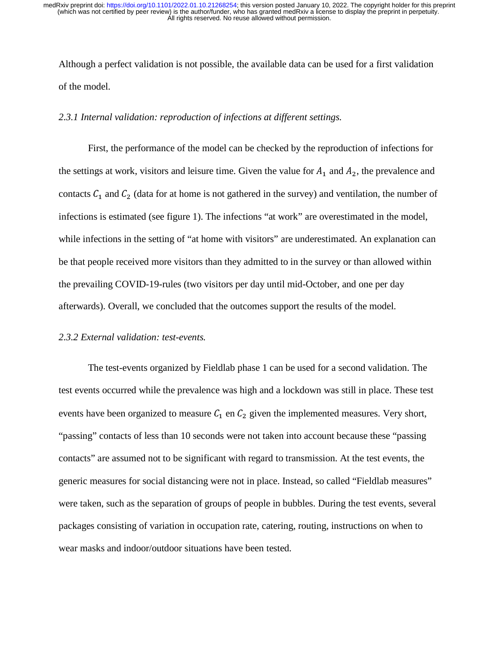Although a perfect validation is not possible, the available data can be used for a first validation of the model.

# *2.3.1 Internal validation: reproduction of infections at different settings.*

First, the performance of the model can be checked by the reproduction of infections for the settings at work, visitors and leisure time. Given the value for  $A_1$  and  $A_2$ , the prevalence and contacts  $C_1$  and  $C_2$  (data for at home is not gathered in the survey) and ventilation, the number of infections is estimated (see figure 1). The infections "at work" are overestimated in the model, while infections in the setting of "at home with visitors" are underestimated. An explanation can be that people received more visitors than they admitted to in the survey or than allowed within the prevailing COVID-19-rules (two visitors per day until mid-October, and one per day afterwards). Overall, we concluded that the outcomes support the results of the model.

## *2.3.2 External validation: test-events.*

The test-events organized by Fieldlab phase 1 can be used for a second validation. The test events occurred while the prevalence was high and a lockdown was still in place. These test events have been organized to measure  $C_1$  en  $C_2$  given the implemented measures. Very short, "passing" contacts of less than 10 seconds were not taken into account because these "passing contacts" are assumed not to be significant with regard to transmission. At the test events, the generic measures for social distancing were not in place. Instead, so called "Fieldlab measures" were taken, such as the separation of groups of people in bubbles. During the test events, several packages consisting of variation in occupation rate, catering, routing, instructions on when to wear masks and indoor/outdoor situations have been tested.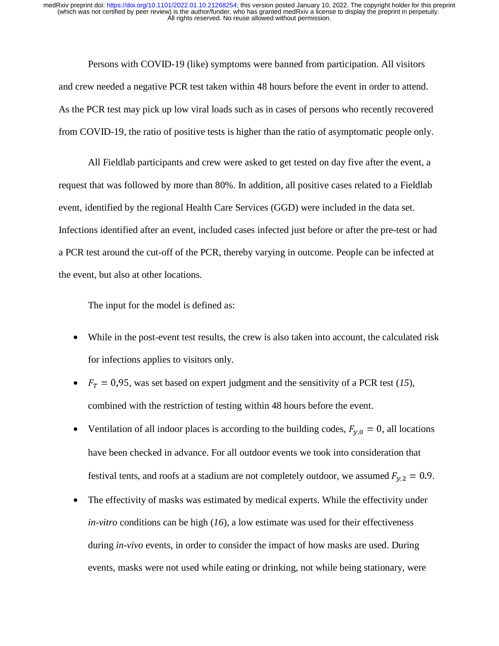Persons with COVID-19 (like) symptoms were banned from participation. All visitors and crew needed a negative PCR test taken within 48 hours before the event in order to attend. As the PCR test may pick up low viral loads such as in cases of persons who recently recovered from COVID-19, the ratio of positive tests is higher than the ratio of asymptomatic people only.

All Fieldlab participants and crew were asked to get tested on day five after the event, a request that was followed by more than 80%. In addition, all positive cases related to a Fieldlab event, identified by the regional Health Care Services (GGD) were included in the data set. Infections identified after an event, included cases infected just before or after the pre-test or had a PCR test around the cut-off of the PCR, thereby varying in outcome. People can be infected at the event, but also at other locations.

The input for the model is defined as:

- While in the post-event test results, the crew is also taken into account, the calculated risk for infections applies to visitors only.
- $F_T = 0.95$ , was set based on expert judgment and the sensitivity of a PCR test (15), combined with the restriction of testing within 48 hours before the event.
- Ventilation of all indoor places is according to the building codes,  $F_{y,0} = 0$ , all locations have been checked in advance. For all outdoor events we took into consideration that festival tents, and roofs at a stadium are not completely outdoor, we assumed  $F_{y,2} = 0.9$ .
- The effectivity of masks was estimated by medical experts. While the effectivity under *in-vitro* conditions can be high (*16*), a low estimate was used for their effectiveness during *in-vivo* events, in order to consider the impact of how masks are used. During events, masks were not used while eating or drinking, not while being stationary, were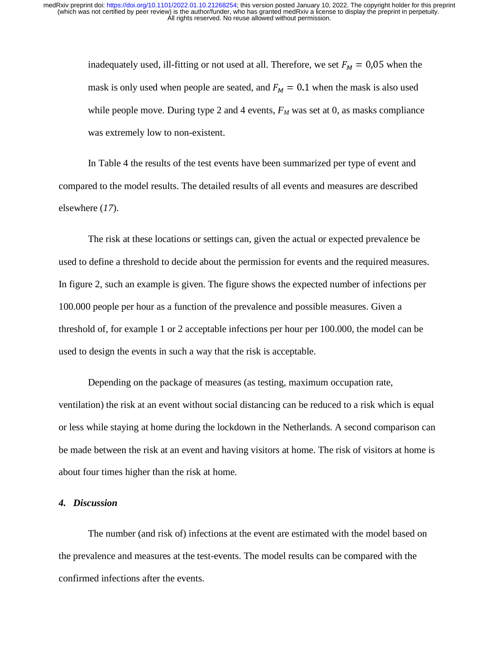inadequately used, ill-fitting or not used at all. Therefore, we set  $F_M = 0.05$  when the mask is only used when people are seated, and  $F_M = 0.1$  when the mask is also used while people move. During type 2 and 4 events,  $F_M$  was set at 0, as masks compliance was extremely low to non-existent.

In Table 4 the results of the test events have been summarized per type of event and compared to the model results. The detailed results of all events and measures are described elsewhere (*17*).

The risk at these locations or settings can, given the actual or expected prevalence be used to define a threshold to decide about the permission for events and the required measures. In figure 2, such an example is given. The figure shows the expected number of infections per 100.000 people per hour as a function of the prevalence and possible measures. Given a threshold of, for example 1 or 2 acceptable infections per hour per 100.000, the model can be used to design the events in such a way that the risk is acceptable.

Depending on the package of measures (as testing, maximum occupation rate, ventilation) the risk at an event without social distancing can be reduced to a risk which is equal or less while staying at home during the lockdown in the Netherlands. A second comparison can be made between the risk at an event and having visitors at home. The risk of visitors at home is about four times higher than the risk at home.

# *4. Discussion*

The number (and risk of) infections at the event are estimated with the model based on the prevalence and measures at the test-events. The model results can be compared with the confirmed infections after the events.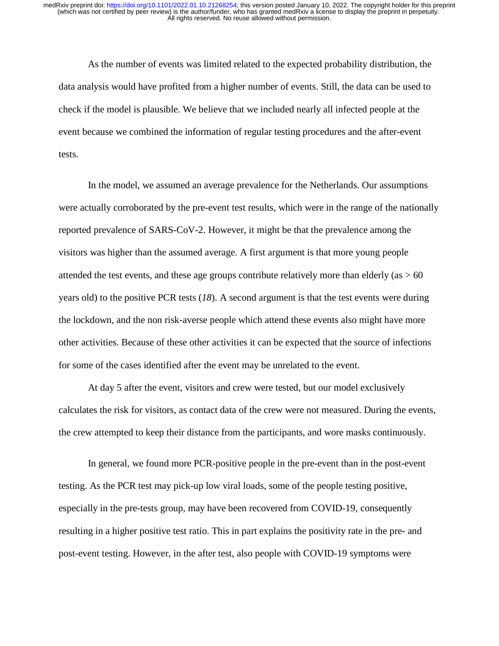As the number of events was limited related to the expected probability distribution, the data analysis would have profited from a higher number of events. Still, the data can be used to check if the model is plausible. We believe that we included nearly all infected people at the event because we combined the information of regular testing procedures and the after-event tests.

In the model, we assumed an average prevalence for the Netherlands. Our assumptions were actually corroborated by the pre-event test results, which were in the range of the nationally reported prevalence of SARS-CoV-2. However, it might be that the prevalence among the visitors was higher than the assumed average. A first argument is that more young people attended the test events, and these age groups contribute relatively more than elderly (as  $> 60$ ) years old) to the positive PCR tests (*18*). A second argument is that the test events were during the lockdown, and the non risk-averse people which attend these events also might have more other activities. Because of these other activities it can be expected that the source of infections for some of the cases identified after the event may be unrelated to the event.

 At day 5 after the event, visitors and crew were tested, but our model exclusively calculates the risk for visitors, as contact data of the crew were not measured. During the events, the crew attempted to keep their distance from the participants, and wore masks continuously.

In general, we found more PCR-positive people in the pre-event than in the post-event testing. As the PCR test may pick-up low viral loads, some of the people testing positive, especially in the pre-tests group, may have been recovered from COVID-19, consequently resulting in a higher positive test ratio. This in part explains the positivity rate in the pre- and post-event testing. However, in the after test, also people with COVID-19 symptoms were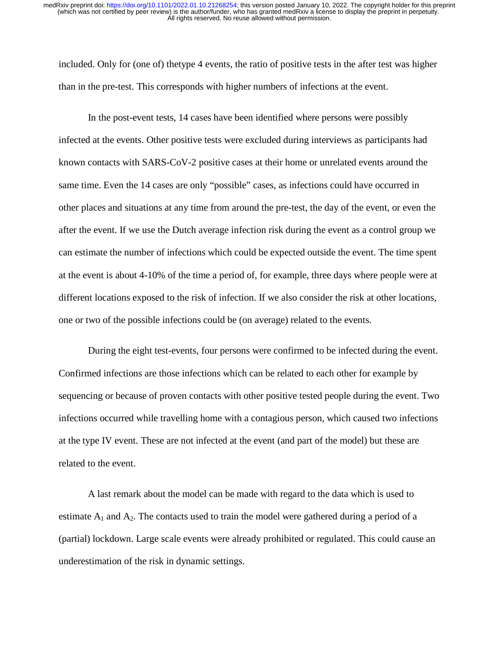included. Only for (one of) thetype 4 events, the ratio of positive tests in the after test was higher than in the pre-test. This corresponds with higher numbers of infections at the event.

In the post-event tests, 14 cases have been identified where persons were possibly infected at the events. Other positive tests were excluded during interviews as participants had known contacts with SARS-CoV-2 positive cases at their home or unrelated events around the same time. Even the 14 cases are only "possible" cases, as infections could have occurred in other places and situations at any time from around the pre-test, the day of the event, or even the after the event. If we use the Dutch average infection risk during the event as a control group we can estimate the number of infections which could be expected outside the event. The time spent at the event is about 4-10% of the time a period of, for example, three days where people were at different locations exposed to the risk of infection. If we also consider the risk at other locations, one or two of the possible infections could be (on average) related to the events.

During the eight test-events, four persons were confirmed to be infected during the event. Confirmed infections are those infections which can be related to each other for example by sequencing or because of proven contacts with other positive tested people during the event. Two infections occurred while travelling home with a contagious person, which caused two infections at the type IV event. These are not infected at the event (and part of the model) but these are related to the event.

A last remark about the model can be made with regard to the data which is used to estimate  $A_1$  and  $A_2$ . The contacts used to train the model were gathered during a period of a (partial) lockdown. Large scale events were already prohibited or regulated. This could cause an underestimation of the risk in dynamic settings.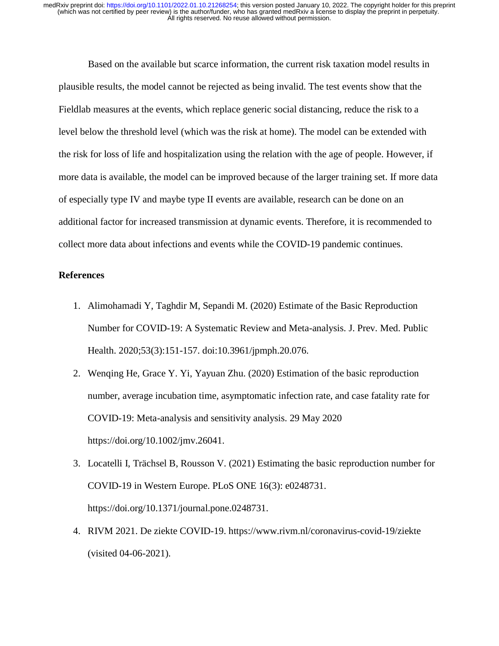Based on the available but scarce information, the current risk taxation model results in plausible results, the model cannot be rejected as being invalid. The test events show that the Fieldlab measures at the events, which replace generic social distancing, reduce the risk to a level below the threshold level (which was the risk at home). The model can be extended with the risk for loss of life and hospitalization using the relation with the age of people. However, if more data is available, the model can be improved because of the larger training set. If more data of especially type IV and maybe type II events are available, research can be done on an additional factor for increased transmission at dynamic events. Therefore, it is recommended to collect more data about infections and events while the COVID-19 pandemic continues.

### **References**

- 1. Alimohamadi Y, Taghdir M, Sepandi M. (2020) Estimate of the Basic Reproduction Number for COVID-19: A Systematic Review and Meta-analysis. J. Prev. Med. Public Health. 2020;53(3):151-157. doi:10.3961/jpmph.20.076.
- 2. Wenqing He, Grace Y. Yi, Yayuan Zhu. (2020) Estimation of the basic reproduction number, average incubation time, asymptomatic infection rate, and case fatality rate for COVID-19: Meta-analysis and sensitivity analysis. 29 May 2020 https://doi.org/10.1002/jmv.26041.
- 3. Locatelli I, Trächsel B, Rousson V. (2021) Estimating the basic reproduction number for COVID-19 in Western Europe. PLoS ONE 16(3): e0248731. https://doi.org/10.1371/journal.pone.0248731.
- 4. RIVM 2021. De ziekte COVID-19. https://www.rivm.nl/coronavirus-covid-19/ziekte (visited 04-06-2021).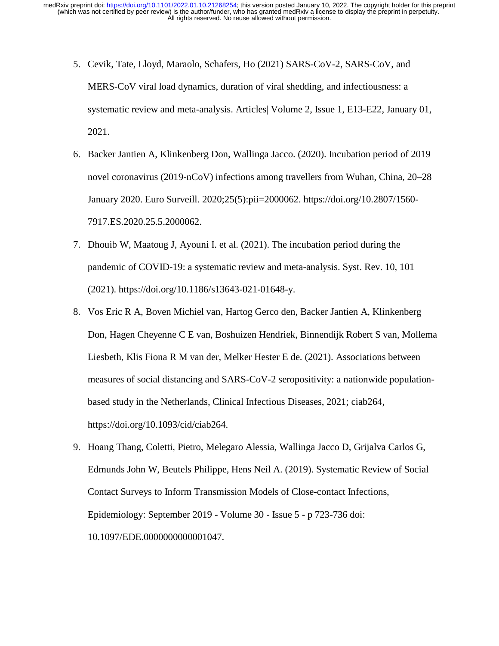- 5. Cevik, Tate, Lloyd, Maraolo, Schafers, Ho (2021) SARS-CoV-2, SARS-CoV, and MERS-CoV viral load dynamics, duration of viral shedding, and infectiousness: a systematic review and meta-analysis. Articles| Volume 2, Issue 1, E13-E22, January 01, 2021.
- 6. Backer Jantien A, Klinkenberg Don, Wallinga Jacco. (2020). Incubation period of 2019 novel coronavirus (2019-nCoV) infections among travellers from Wuhan, China, 20–28 January 2020. Euro Surveill. 2020;25(5):pii=2000062. https://doi.org/10.2807/1560- 7917.ES.2020.25.5.2000062.
- 7. Dhouib W, Maatoug J, Ayouni I. et al. (2021). The incubation period during the pandemic of COVID-19: a systematic review and meta-analysis. Syst. Rev. 10, 101 (2021). https://doi.org/10.1186/s13643-021-01648-y.
- 8. Vos Eric R A, Boven Michiel van, Hartog Gerco den, Backer Jantien A, Klinkenberg Don, Hagen Cheyenne C E van, Boshuizen Hendriek, Binnendijk Robert S van, Mollema Liesbeth, Klis Fiona R M van der, Melker Hester E de. (2021). Associations between measures of social distancing and SARS-CoV-2 seropositivity: a nationwide populationbased study in the Netherlands, Clinical Infectious Diseases, 2021; ciab264, https://doi.org/10.1093/cid/ciab264.
- 9. Hoang Thang, Coletti, Pietro, Melegaro Alessia, Wallinga Jacco D, Grijalva Carlos G, Edmunds John W, Beutels Philippe, Hens Neil A. (2019). Systematic Review of Social Contact Surveys to Inform Transmission Models of Close-contact Infections, Epidemiology: September 2019 - Volume 30 - Issue 5 - p 723-736 doi: 10.1097/EDE.0000000000001047.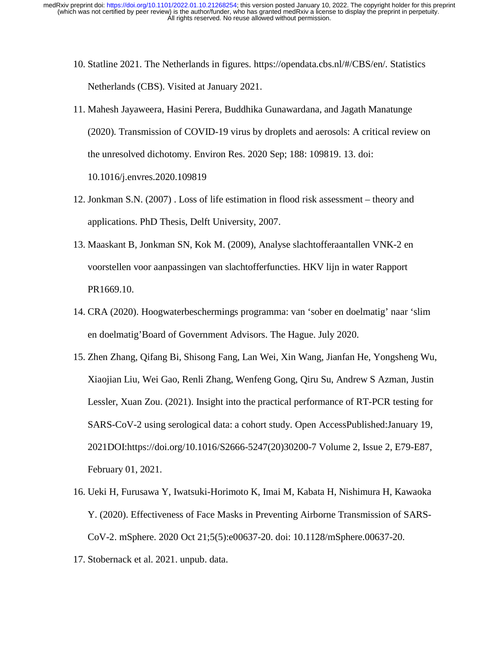- 10. Statline 2021. The Netherlands in figures. https://opendata.cbs.nl/#/CBS/en/. Statistics Netherlands (CBS). Visited at January 2021.
- 11. Mahesh Jayaweera, Hasini Perera, Buddhika Gunawardana, and Jagath Manatunge (2020). Transmission of COVID-19 virus by droplets and aerosols: A critical review on the unresolved dichotomy. Environ Res. 2020 Sep; 188: 109819. 13. doi: 10.1016/j.envres.2020.109819
- 12. Jonkman S.N. (2007) . Loss of life estimation in flood risk assessment theory and applications. PhD Thesis, Delft University, 2007.
- 13. Maaskant B, Jonkman SN, Kok M. (2009), Analyse slachtofferaantallen VNK-2 en voorstellen voor aanpassingen van slachtofferfuncties. HKV lijn in water Rapport PR1669.10.
- 14. CRA (2020). Hoogwaterbeschermings programma: van 'sober en doelmatig' naar 'slim en doelmatig'Board of Government Advisors. The Hague. July 2020.
- 15. Zhen Zhang, Qifang Bi, Shisong Fang, Lan Wei, Xin Wang, Jianfan He, Yongsheng Wu, Xiaojian Liu, Wei Gao, Renli Zhang, Wenfeng Gong, Qiru Su, Andrew S Azman, Justin Lessler, Xuan Zou. (2021). Insight into the practical performance of RT-PCR testing for SARS-CoV-2 using serological data: a cohort study. Open AccessPublished:January 19, 2021DOI:https://doi.org/10.1016/S2666-5247(20)30200-7 Volume 2, Issue 2, E79-E87, February 01, 2021.
- 16. Ueki H, Furusawa Y, Iwatsuki-Horimoto K, Imai M, Kabata H, Nishimura H, Kawaoka Y. (2020). Effectiveness of Face Masks in Preventing Airborne Transmission of SARS-CoV-2. mSphere. 2020 Oct 21;5(5):e00637-20. doi: 10.1128/mSphere.00637-20.
- 17. Stobernack et al. 2021. unpub. data.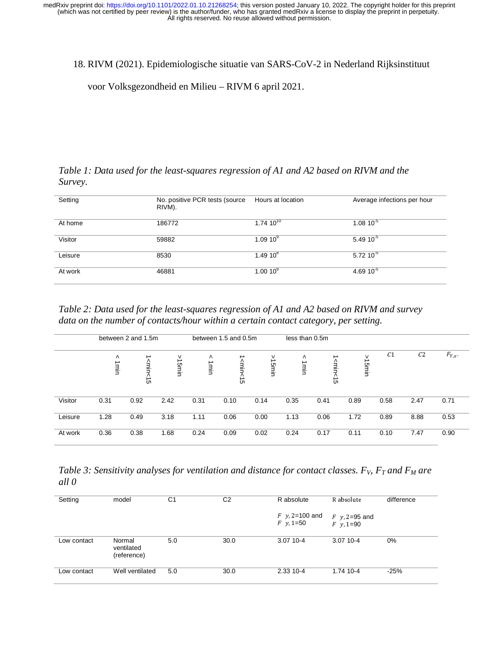18. RIVM (2021). Epidemiologische situatie van SARS-CoV-2 in Nederland Rijksinstituut

voor Volksgezondheid en Milieu – RIVM 6 april 2021.

*Table 1: Data used for the least-squares regression of A1 and A2 based on RIVM and the Survey.* 

| Setting | No. positive PCR tests (source)<br>RIVM). | Hours at location    | Average infections per hour |
|---------|-------------------------------------------|----------------------|-----------------------------|
| At home | 186772                                    | $1.74~10^{10}$       | $1.0810^{-5}$               |
| Visitor | 59882                                     | 1.09 10 <sup>9</sup> | $5.4910^{-5}$               |
| Leisure | 8530                                      | $1.4910^{8}$         | $5.72~10^{-5}$              |
| At work | 46881                                     | $1.0010^{9}$         | 4.69 $10^{-5}$              |
|         |                                           |                      |                             |

*Table 2: Data used for the least-squares regression of A1 and A2 based on RIVM and survey data on the number of contacts/hour within a certain contact category, per setting.* 

|         | between 2 and 1.5m |                             | between 1.5 and 0.5m |           | less than 0.5m       |            |           |                                                |            |                |                |             |
|---------|--------------------|-----------------------------|----------------------|-----------|----------------------|------------|-----------|------------------------------------------------|------------|----------------|----------------|-------------|
|         | Λ<br>∸<br>ulu      | ∸<br><min<1<br>c</min<1<br> | v<br>15min           | ٨<br>1min | smin<br>۸<br>→<br>ຕ. | ٧<br>15min | Λ<br>1min | ∸<br><min<br><math>\frac{1}{2}</math></min<br> | ٧<br>15min | C <sub>1</sub> | C <sub>2</sub> | $F_{Y,x}$ . |
| Visitor | 0.31               | 0.92                        | 2.42                 | 0.31      | 0.10                 | 0.14       | 0.35      | 0.41                                           | 0.89       | 0.58           | 2.47           | 0.71        |
| Leisure | 1.28               | 0.49                        | 3.18                 | 1.11      | 0.06                 | 0.00       | 1.13      | 0.06                                           | 1.72       | 0.89           | 8.88           | 0.53        |
| At work | 0.36               | 0.38                        | 1.68                 | 0.24      | 0.09                 | 0.02       | 0.24      | 0.17                                           | 0.11       | 0.10           | 7.47           | 0.90        |

*Table 3: Sensitivity analyses for ventilation and distance for contact classes.*  $F_V$ *,*  $F_T$  *and*  $F_M$  *are all 0* 

| Setting     | model                               | C <sub>1</sub> | C <sub>2</sub> | R absolute                           | R absolute                                        | difference |  |
|-------------|-------------------------------------|----------------|----------------|--------------------------------------|---------------------------------------------------|------------|--|
|             |                                     |                |                | $F$ y, 2=100 and<br>$F \, y, 1 = 50$ | $F$ y, 2=95 and<br>$F \text{ } v \text{ } 1 = 90$ |            |  |
| Low contact | Normal<br>ventilated<br>(reference) | 5.0            | 30.0           | $3.0710 - 4$                         | 3.07 10-4                                         | 0%         |  |
| Low contact | Well ventilated                     | 5.0            | 30.0           | 2.33 10-4                            | 1.74 10-4                                         | $-25%$     |  |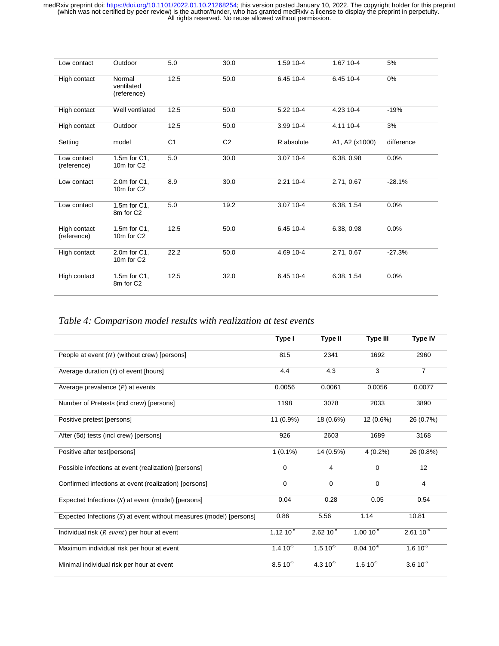| Low contact                 | Outdoor                                | 5.0            | 30.0           | 1.59 10-4  | 1.67 10-4      | 5%         |
|-----------------------------|----------------------------------------|----------------|----------------|------------|----------------|------------|
| High contact                | Normal<br>ventilated<br>(reference)    | 12.5           | 50.0           | 6.45 10-4  | 6.45 10-4      | 0%         |
| High contact                | Well ventilated                        | 12.5           | 50.0           | 5.22 10-4  | 4.23 10-4      | $-19%$     |
| High contact                | Outdoor                                | 12.5           | 50.0           | 3.99 10-4  | 4.11 10-4      | 3%         |
| Setting                     | model                                  | C <sub>1</sub> | C <sub>2</sub> | R absolute | A1, A2 (x1000) | difference |
| Low contact<br>(reference)  | 1.5m for C1,<br>10m for C <sub>2</sub> | 5.0            | 30.0           | 3.07 10-4  | 6.38, 0.98     | 0.0%       |
| Low contact                 | 2.0m for C1,<br>10m for C <sub>2</sub> | 8.9            | 30.0           | 2.21 10-4  | 2.71, 0.67     | $-28.1%$   |
| Low contact                 | 1.5m for C1,<br>8m for C <sub>2</sub>  | 5.0            | 19.2           | 3.07 10-4  | 6.38, 1.54     | 0.0%       |
| High contact<br>(reference) | 1.5m for C1,<br>10m for C2             | 12.5           | 50.0           | 6.45 10-4  | 6.38, 0.98     | 0.0%       |
| High contact                | 2.0m for C1,<br>10m for C <sub>2</sub> | 22.2           | 50.0           | 4.69 10-4  | 2.71, 0.67     | $-27.3%$   |
| High contact                | 1.5m for C1,<br>8m for C2              | 12.5           | 32.0           | 6.45 10-4  | 6.38, 1.54     | 0.0%       |

*Table 4: Comparison model results with realization at test events* 

|                                                                       | Type I         | <b>Type II</b> | <b>Type III</b> | <b>Type IV</b> |
|-----------------------------------------------------------------------|----------------|----------------|-----------------|----------------|
| People at event $(N)$ (without crew) [persons]                        | 815            | 2341           | 1692            | 2960           |
| Average duration $(t)$ of event [hours]                               | 4.4            | 4.3            | 3               | $\overline{7}$ |
| Average prevalence $(P)$ at events                                    | 0.0056         | 0.0061         | 0.0056          | 0.0077         |
| Number of Pretests (incl crew) [persons]                              | 1198           | 3078           | 2033            | 3890           |
| Positive pretest [persons]                                            | 11 (0.9%)      | 18 (0.6%)      | 12 (0.6%)       | 26 (0.7%)      |
| After (5d) tests (incl crew) [persons]                                | 926            | 2603           | 1689            | 3168           |
| Positive after test[persons]                                          | $1(0.1\%)$     | 14 (0.5%)      | $4(0.2\%)$      | 26 (0.8%)      |
| Possible infections at event (realization) [persons]                  | $\mathbf 0$    | $\overline{4}$ | $\mathbf 0$     | 12             |
| Confirmed infections at event (realization) [persons]                 | $\Omega$       | $\Omega$       | $\mathbf 0$     | $\overline{4}$ |
| Expected Infections $(S)$ at event (model) [persons]                  | 0.04           | 0.28           | 0.05            | 0.54           |
| Expected Infections $(S)$ at event without measures (model) [persons] | 0.86           | 5.56           | 1.14            | 10.81          |
| Individual risk $(R$ event) per hour at event                         | $1.12 10^{-5}$ | $2.6210^{-5}$  | $1.00 10^{-5}$  | $2.6110^{-5}$  |
| Maximum individual risk per hour at event                             | $1.410^{5}$    | $1.510^{5}$    | $8.0410^{-6}$   | $1.610^{-5}$   |
| Minimal individual risk per hour at event                             | $8.510^{-6}$   | $4.310^{5}$    | $1.610^{5}$     | $3.610^{-5}$   |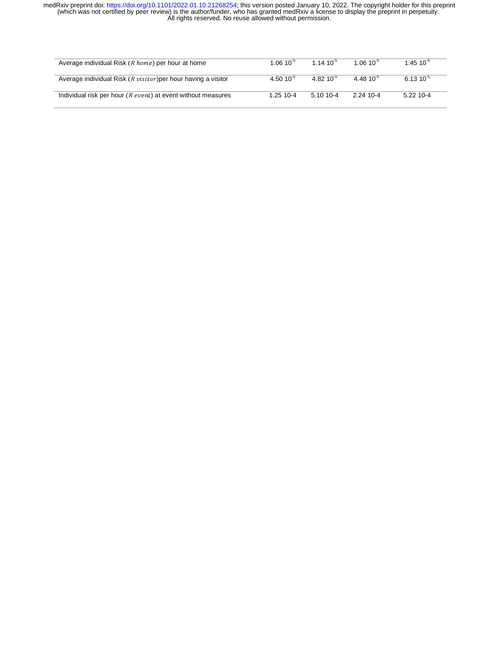| Average individual Risk $(R \text{ home})$ per hour at home              | $1.0610^{3}$   | 1 14 10 <sup>-5</sup> | $1.0610^{5}$   | $1.4510^{5}$ |
|--------------------------------------------------------------------------|----------------|-----------------------|----------------|--------------|
| Average individual Risk $(R \text{ } visitor)$ per hour having a visitor | 4.50 $10^{-5}$ | 4.82 $10^{-5}$        | 4.48 $10^{-5}$ | $6.1310^{5}$ |
| Individual risk per hour $(R$ event) at event without measures           | $1.2510 - 4$   | $5.1010 - 4$          | 2.24 10-4      | $5.22$ 10-4  |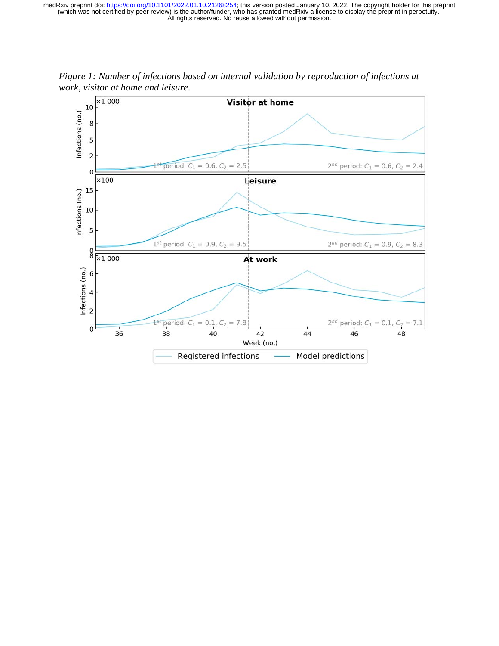

*Figure 1: Number of infections based on internal validation by reproduction of infections at work, visitor at home and leisure.*